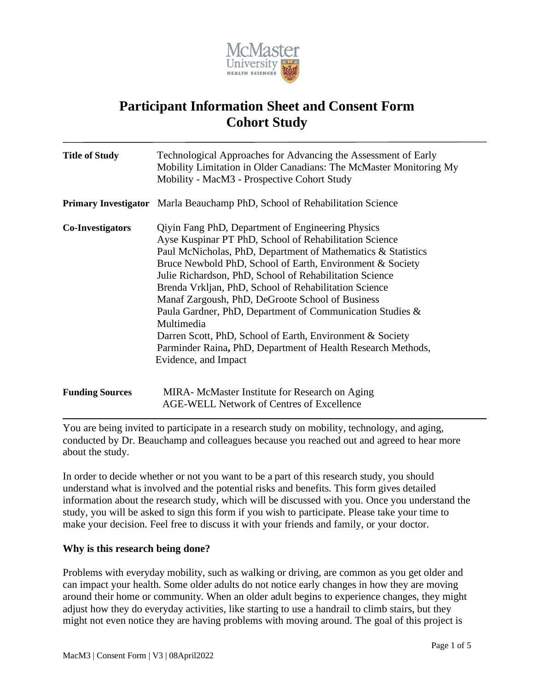

# **Participant Information Sheet and Consent Form Cohort Study**

| <b>Title of Study</b>   | Technological Approaches for Advancing the Assessment of Early<br>Mobility Limitation in Older Canadians: The McMaster Monitoring My<br>Mobility - MacM3 - Prospective Cohort Study                                                                                                                                                                                                                                                                                                                                                                                                                                                                     |  |
|-------------------------|---------------------------------------------------------------------------------------------------------------------------------------------------------------------------------------------------------------------------------------------------------------------------------------------------------------------------------------------------------------------------------------------------------------------------------------------------------------------------------------------------------------------------------------------------------------------------------------------------------------------------------------------------------|--|
|                         | <b>Primary Investigator</b> Marla Beauchamp PhD, School of Rehabilitation Science                                                                                                                                                                                                                                                                                                                                                                                                                                                                                                                                                                       |  |
| <b>Co-Investigators</b> | <b>Qiyin Fang PhD, Department of Engineering Physics</b><br>Ayse Kuspinar PT PhD, School of Rehabilitation Science<br>Paul McNicholas, PhD, Department of Mathematics & Statistics<br>Bruce Newbold PhD, School of Earth, Environment & Society<br>Julie Richardson, PhD, School of Rehabilitation Science<br>Brenda Vrkljan, PhD, School of Rehabilitation Science<br>Manaf Zargoush, PhD, DeGroote School of Business<br>Paula Gardner, PhD, Department of Communication Studies &<br>Multimedia<br>Darren Scott, PhD, School of Earth, Environment & Society<br>Parminder Raina, PhD, Department of Health Research Methods,<br>Evidence, and Impact |  |
| <b>Funding Sources</b>  | MIRA- McMaster Institute for Research on Aging                                                                                                                                                                                                                                                                                                                                                                                                                                                                                                                                                                                                          |  |

AGE-WELL Network of Centres of Excellence

You are being invited to participate in a research study on mobility, technology, and aging, conducted by Dr. Beauchamp and colleagues because you reached out and agreed to hear more about the study.

In order to decide whether or not you want to be a part of this research study, you should understand what is involved and the potential risks and benefits. This form gives detailed information about the research study, which will be discussed with you. Once you understand the study, you will be asked to sign this form if you wish to participate. Please take your time to make your decision. Feel free to discuss it with your friends and family, or your doctor.

# **Why is this research being done?**

Problems with everyday mobility, such as walking or driving, are common as you get older and can impact your health. Some older adults do not notice early changes in how they are moving around their home or community. When an older adult begins to experience changes, they might adjust how they do everyday activities, like starting to use a handrail to climb stairs, but they might not even notice they are having problems with moving around. The goal of this project is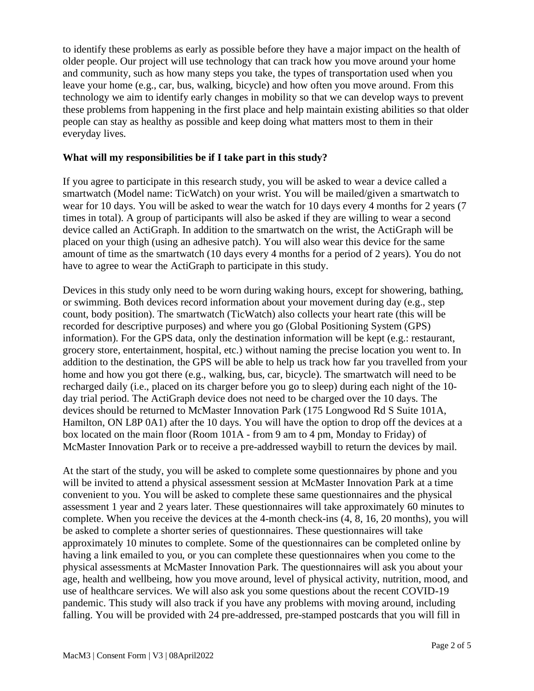to identify these problems as early as possible before they have a major impact on the health of older people. Our project will use technology that can track how you move around your home and community, such as how many steps you take, the types of transportation used when you leave your home (e.g., car, bus, walking, bicycle) and how often you move around. From this technology we aim to identify early changes in mobility so that we can develop ways to prevent these problems from happening in the first place and help maintain existing abilities so that older people can stay as healthy as possible and keep doing what matters most to them in their everyday lives.

#### **What will my responsibilities be if I take part in this study?**

If you agree to participate in this research study, you will be asked to wear a device called a smartwatch (Model name: TicWatch) on your wrist. You will be mailed/given a smartwatch to wear for 10 days. You will be asked to wear the watch for 10 days every 4 months for 2 years (7 times in total). A group of participants will also be asked if they are willing to wear a second device called an ActiGraph. In addition to the smartwatch on the wrist, the ActiGraph will be placed on your thigh (using an adhesive patch). You will also wear this device for the same amount of time as the smartwatch (10 days every 4 months for a period of 2 years). You do not have to agree to wear the ActiGraph to participate in this study.

Devices in this study only need to be worn during waking hours, except for showering, bathing, or swimming. Both devices record information about your movement during day (e.g., step count, body position). The smartwatch (TicWatch) also collects your heart rate (this will be recorded for descriptive purposes) and where you go (Global Positioning System (GPS) information). For the GPS data, only the destination information will be kept (e.g.: restaurant, grocery store, entertainment, hospital, etc.) without naming the precise location you went to. In addition to the destination, the GPS will be able to help us track how far you travelled from your home and how you got there (e.g., walking, bus, car, bicycle). The smartwatch will need to be recharged daily (i.e., placed on its charger before you go to sleep) during each night of the 10 day trial period. The ActiGraph device does not need to be charged over the 10 days. The devices should be returned to McMaster Innovation Park (175 Longwood Rd S Suite 101A, Hamilton, ON L8P 0A1) after the 10 days. You will have the option to drop off the devices at a box located on the main floor (Room 101A - from 9 am to 4 pm, Monday to Friday) of McMaster Innovation Park or to receive a pre-addressed waybill to return the devices by mail.

At the start of the study, you will be asked to complete some questionnaires by phone and you will be invited to attend a physical assessment session at McMaster Innovation Park at a time convenient to you. You will be asked to complete these same questionnaires and the physical assessment 1 year and 2 years later. These questionnaires will take approximately 60 minutes to complete. When you receive the devices at the 4-month check-ins (4, 8, 16, 20 months), you will be asked to complete a shorter series of questionnaires. These questionnaires will take approximately 10 minutes to complete. Some of the questionnaires can be completed online by having a link emailed to you, or you can complete these questionnaires when you come to the physical assessments at McMaster Innovation Park. The questionnaires will ask you about your age, health and wellbeing, how you move around, level of physical activity, nutrition, mood, and use of healthcare services. We will also ask you some questions about the recent COVID-19 pandemic. This study will also track if you have any problems with moving around, including falling. You will be provided with 24 pre-addressed, pre-stamped postcards that you will fill in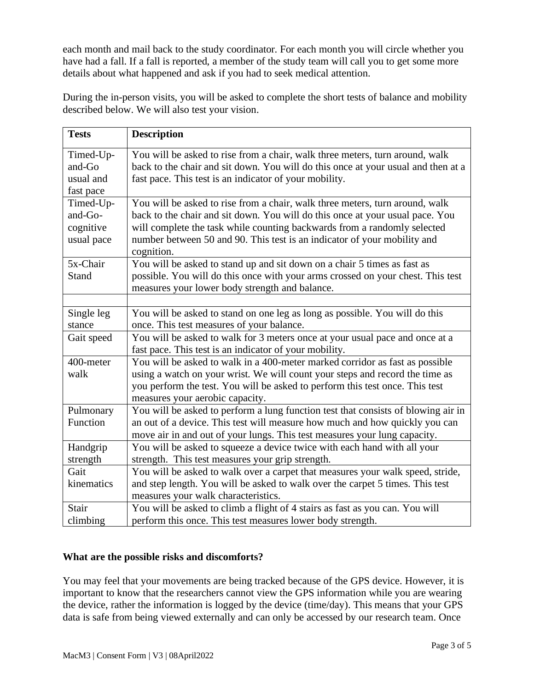each month and mail back to the study coordinator. For each month you will circle whether you have had a fall. If a fall is reported, a member of the study team will call you to get some more details about what happened and ask if you had to seek medical attention.

During the in-person visits, you will be asked to complete the short tests of balance and mobility described below. We will also test your vision.

| <b>Tests</b> | <b>Description</b>                                                                |  |
|--------------|-----------------------------------------------------------------------------------|--|
| Timed-Up-    | You will be asked to rise from a chair, walk three meters, turn around, walk      |  |
| and-Go       | back to the chair and sit down. You will do this once at your usual and then at a |  |
| usual and    | fast pace. This test is an indicator of your mobility.                            |  |
| fast pace    |                                                                                   |  |
| Timed-Up-    | You will be asked to rise from a chair, walk three meters, turn around, walk      |  |
| and-Go-      | back to the chair and sit down. You will do this once at your usual pace. You     |  |
| cognitive    | will complete the task while counting backwards from a randomly selected          |  |
| usual pace   | number between 50 and 90. This test is an indicator of your mobility and          |  |
|              | cognition.                                                                        |  |
| 5x-Chair     | You will be asked to stand up and sit down on a chair 5 times as fast as          |  |
| <b>Stand</b> | possible. You will do this once with your arms crossed on your chest. This test   |  |
|              | measures your lower body strength and balance.                                    |  |
|              |                                                                                   |  |
| Single leg   | You will be asked to stand on one leg as long as possible. You will do this       |  |
| stance       | once. This test measures of your balance.                                         |  |
| Gait speed   | You will be asked to walk for 3 meters once at your usual pace and once at a      |  |
|              | fast pace. This test is an indicator of your mobility.                            |  |
| 400-meter    | You will be asked to walk in a 400-meter marked corridor as fast as possible      |  |
| walk         | using a watch on your wrist. We will count your steps and record the time as      |  |
|              | you perform the test. You will be asked to perform this test once. This test      |  |
|              | measures your aerobic capacity.                                                   |  |
| Pulmonary    | You will be asked to perform a lung function test that consists of blowing air in |  |
| Function     | an out of a device. This test will measure how much and how quickly you can       |  |
|              | move air in and out of your lungs. This test measures your lung capacity.         |  |
| Handgrip     | You will be asked to squeeze a device twice with each hand with all your          |  |
| strength     | strength. This test measures your grip strength.                                  |  |
| Gait         | You will be asked to walk over a carpet that measures your walk speed, stride,    |  |
| kinematics   | and step length. You will be asked to walk over the carpet 5 times. This test     |  |
|              | measures your walk characteristics.                                               |  |
| Stair        | You will be asked to climb a flight of 4 stairs as fast as you can. You will      |  |
| climbing     | perform this once. This test measures lower body strength.                        |  |

# **What are the possible risks and discomforts?**

You may feel that your movements are being tracked because of the GPS device. However, it is important to know that the researchers cannot view the GPS information while you are wearing the device, rather the information is logged by the device (time/day). This means that your GPS data is safe from being viewed externally and can only be accessed by our research team. Once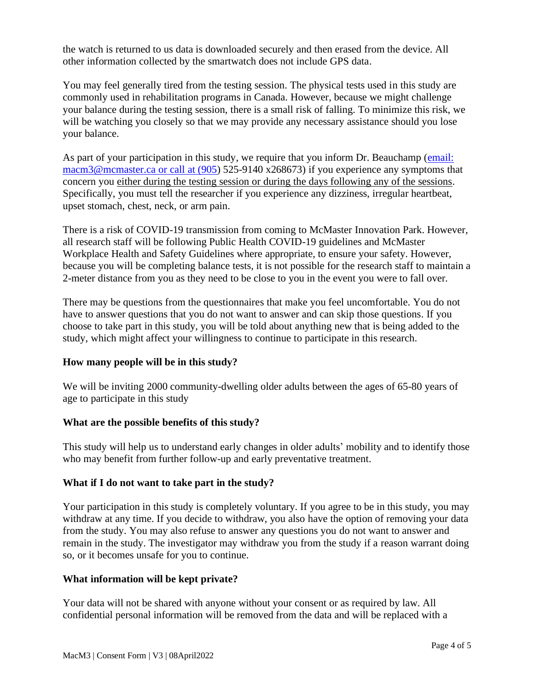the watch is returned to us data is downloaded securely and then erased from the device. All other information collected by the smartwatch does not include GPS data.

You may feel generally tired from the testing session. The physical tests used in this study are commonly used in rehabilitation programs in Canada. However, because we might challenge your balance during the testing session, there is a small risk of falling. To minimize this risk, we will be watching you closely so that we may provide any necessary assistance should you lose your balance.

As part of your participation in this study, we require that you inform Dr. Beauchamp (email: macm3@mcmaster.ca or call at (905) 525-9140 x268673) if you experience any symptoms that concern you either during the testing session or during the days following any of the sessions. Specifically, you must tell the researcher if you experience any dizziness, irregular heartbeat, upset stomach, chest, neck, or arm pain.

There is a risk of COVID-19 transmission from coming to McMaster Innovation Park. However, all research staff will be following Public Health COVID-19 guidelines and McMaster Workplace Health and Safety Guidelines where appropriate, to ensure your safety. However, because you will be completing balance tests, it is not possible for the research staff to maintain a 2-meter distance from you as they need to be close to you in the event you were to fall over.

There may be questions from the questionnaires that make you feel uncomfortable. You do not have to answer questions that you do not want to answer and can skip those questions. If you choose to take part in this study, you will be told about anything new that is being added to the study, which might affect your willingness to continue to participate in this research.

## **How many people will be in this study?**

We will be inviting 2000 community-dwelling older adults between the ages of 65-80 years of age to participate in this study

## **What are the possible benefits of this study?**

This study will help us to understand early changes in older adults' mobility and to identify those who may benefit from further follow-up and early preventative treatment.

# **What if I do not want to take part in the study?**

Your participation in this study is completely voluntary. If you agree to be in this study, you may withdraw at any time. If you decide to withdraw, you also have the option of removing your data from the study. You may also refuse to answer any questions you do not want to answer and remain in the study. The investigator may withdraw you from the study if a reason warrant doing so, or it becomes unsafe for you to continue.

## **What information will be kept private?**

Your data will not be shared with anyone without your consent or as required by law. All confidential personal information will be removed from the data and will be replaced with a